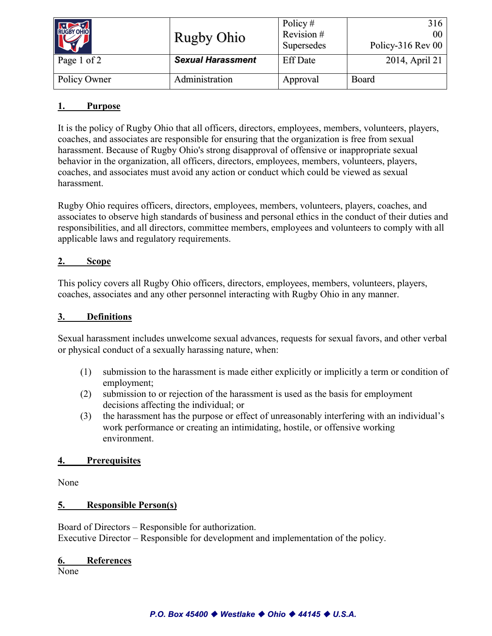| RUGBY OHIO   | <b>Rugby Ohio</b>        | Policy $#$<br>Revision#<br>Supersedes | 316<br>00 <sup>1</sup><br>Policy-316 Rev 00 |
|--------------|--------------------------|---------------------------------------|---------------------------------------------|
| Page 1 of 2  | <b>Sexual Harassment</b> | <b>Eff Date</b>                       | 2014, April 21                              |
| Policy Owner | Administration           | Approval                              | <b>Board</b>                                |

# **1. Purpose**

It is the policy of Rugby Ohio that all officers, directors, employees, members, volunteers, players, coaches, and associates are responsible for ensuring that the organization is free from sexual harassment. Because of Rugby Ohio's strong disapproval of offensive or inappropriate sexual behavior in the organization, all officers, directors, employees, members, volunteers, players, coaches, and associates must avoid any action or conduct which could be viewed as sexual harassment.

Rugby Ohio requires officers, directors, employees, members, volunteers, players, coaches, and associates to observe high standards of business and personal ethics in the conduct of their duties and responsibilities, and all directors, committee members, employees and volunteers to comply with all applicable laws and regulatory requirements.

### **2. Scope**

This policy covers all Rugby Ohio officers, directors, employees, members, volunteers, players, coaches, associates and any other personnel interacting with Rugby Ohio in any manner.

#### **3. Definitions**

Sexual harassment includes unwelcome sexual advances, requests for sexual favors, and other verbal or physical conduct of a sexually harassing nature, when:

- (1) submission to the harassment is made either explicitly or implicitly a term or condition of employment;
- (2) submission to or rejection of the harassment is used as the basis for employment decisions affecting the individual; or
- (3) the harassment has the purpose or effect of unreasonably interfering with an individual's work performance or creating an intimidating, hostile, or offensive working environment.

#### **4. Prerequisites**

None

# **5. Responsible Person(s)**

Board of Directors – Responsible for authorization. Executive Director – Responsible for development and implementation of the policy.

#### **6. References**

None